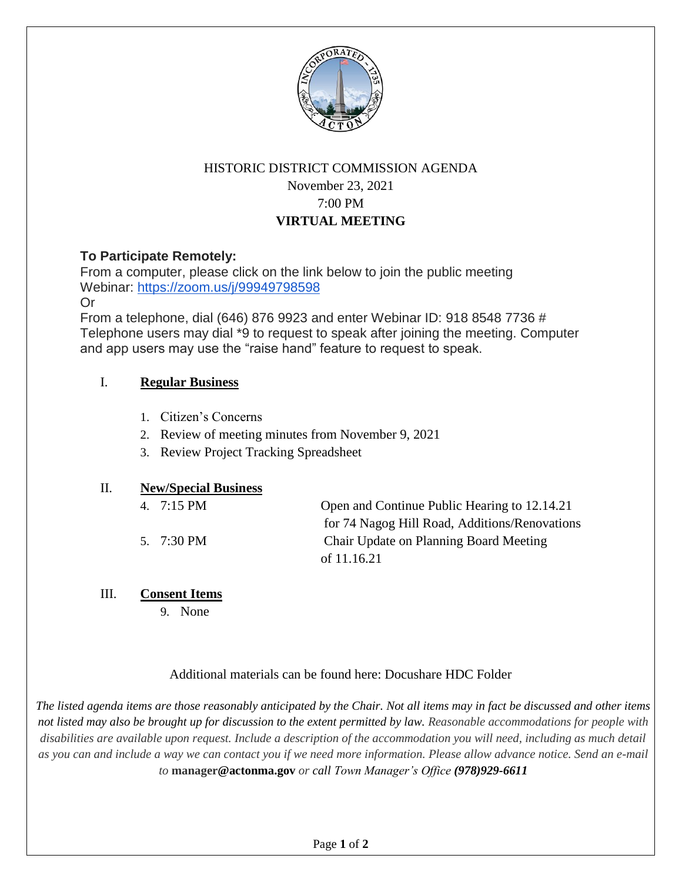

# HISTORIC DISTRICT COMMISSION AGENDA November 23, 2021 7:00 PM **VIRTUAL MEETING**

# **To Participate Remotely:**

From a computer, please click on the link below to join the public meeting Webinar: https://zoom.us/j/99949798598

Or

From a telephone, dial (646) 876 9923 and enter Webinar ID: 918 8548 7736 # Telephone users may dial \*9 to request to speak after joining the meeting. Computer and app users may use the "raise hand" feature to request to speak.

### I. **Regular Business**

- 1. Citizen's Concerns
- 2. Review of meeting minutes from November 9, 2021
- 3. Review Project Tracking Spreadsheet

#### II. **New/Special Business**

| 4. 7:15 PM | Open and Continue Public Hearing to 12.14.21  |
|------------|-----------------------------------------------|
|            | for 74 Nagog Hill Road, Additions/Renovations |
| 5. 7:30 PM | Chair Update on Planning Board Meeting        |
|            | of 11.16.21                                   |

#### III. **Consent Items**

9. None

### Additional materials can be found here: Docushare HDC Folder

*The listed agenda items are those reasonably anticipated by the Chair. Not all items may in fact be discussed and other items not listed may also be brought up for discussion to the extent permitted by law. Reasonable accommodations for people with disabilities are available upon request. Include a description of the accommodation you will need, including as much detail as you can and include a way we can contact you if we need more information. Please allow advance notice. Send an e-mail to* **manager@actonma.gov** *or call Town Manager's Office (978)929-6611*